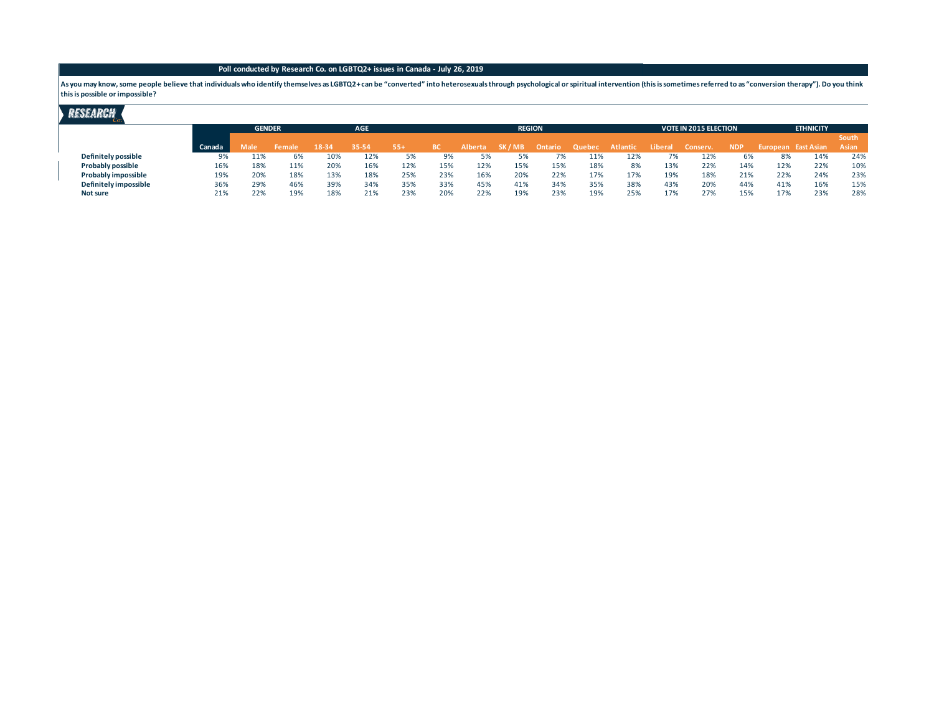#### **Poll conducted by Research Co. on LGBTQ2+ issues in Canada - July 26, 2019**

As you may know, some people believe that individuals who identify themselves as LGBTQ2+ can be "converted" into heterosexuals through psychological or spiritual intervention (this is sometimes referred to as "conversion t **this is possible or impossible?**

## **RESEARCH**

|                       |        | <b>GENDER</b> |        | <b>AGE</b> |       |     |           |                |         | <b>REGION</b> |        |                 |         | <b>VOTE IN 2015 ELECTION</b> |            | <b>ETHNICITY</b> |                     |              |  |
|-----------------------|--------|---------------|--------|------------|-------|-----|-----------|----------------|---------|---------------|--------|-----------------|---------|------------------------------|------------|------------------|---------------------|--------------|--|
|                       |        |               |        |            |       |     |           |                |         |               |        |                 |         |                              |            |                  |                     | <b>South</b> |  |
|                       | Canada | Male          | Female | 18-34      | 35-54 | 554 | <b>BC</b> | <b>Alberta</b> | SK / MB | Ontario       | Quebec | <b>Atlantic</b> | Liberal | Conserv.                     | <b>NDP</b> |                  | European East Asian | Asian        |  |
| Definitely possible   | 9%     | 11%           | 6%     | 1 U 7      | 12%   | 5%  |           |                |         | 7%            | 11%    | 12%             | 7%      | 12%                          | 6%         | 8%               | 14%                 | 24%          |  |
| Probably possible     | 16%    |               | 11%    | 20%        | 16%   | 12% | 15%       | 12%            | 15%     | 15%           | 18%    | 8%              | 13%     | 22%                          | 14%        | 12%              | 22%                 | 10%          |  |
| Probably impossible   | 19%    | 20%           | 18%    | 13%        | 18%   | 25% | 23%       | 16%            | 20%     | 22%           | 17%    | 17%             | 19%     | 18%                          | 21%        | 22%              | 24%                 | 23%          |  |
| Definitely impossible | 36%    | 29%           | 46%    | 39%        | 34%   | 35% | 33%       | 45%            | 41%     | 34%           | 35%    | 38%             | 43%     | 20%                          | 44%        | 41%              | 16%                 | 15%          |  |
| Not sure              | 21%    | 22%           | 19%    | 18%        | 21%   | 23% | 20%       | 22%            | 19%     | 23%           | 19%    | 25%             | 17%     | 27%                          | 15%        | 17%              | 23%                 | 28%          |  |
|                       |        |               |        |            |       |     |           |                |         |               |        |                 |         |                              |            |                  |                     |              |  |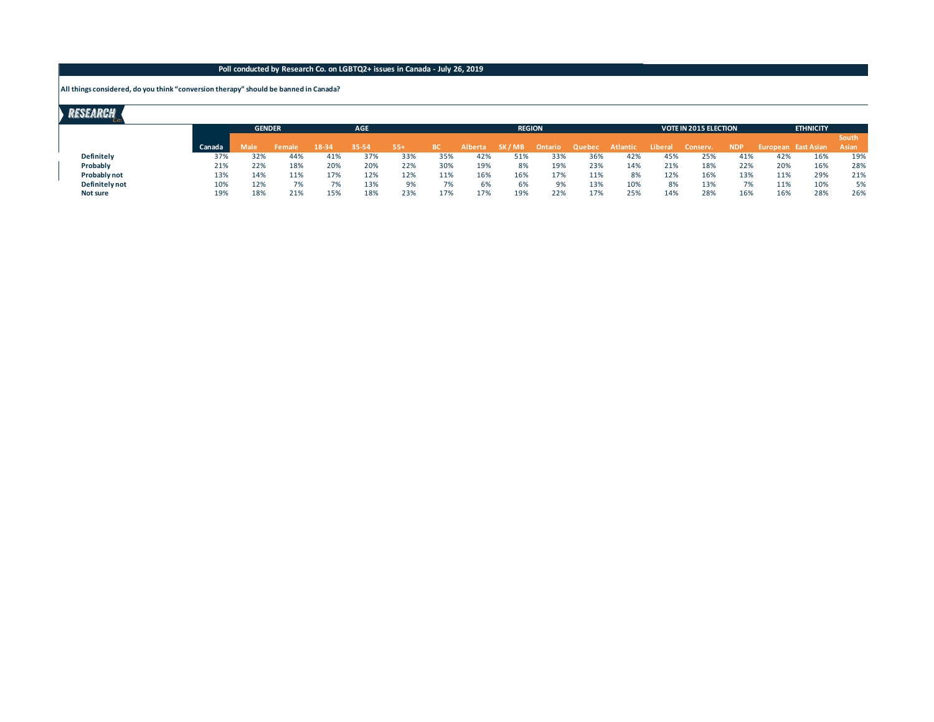### **Poll conducted by Research Co. on LGBTQ2+ issues in Canada - July 26, 2019**

**All things considered, do you think "conversion therapy" should be banned in Canada?**

# RESEARCH

|                   |        | <b>GENDER</b> |        | <b>AGE</b> |       |     |     |                | <b>REGION</b> |         |        |          |                | <b>VOTE IN 2015 ELECTION</b> |            | <b>ETHNICITY</b> |                     |              |  |
|-------------------|--------|---------------|--------|------------|-------|-----|-----|----------------|---------------|---------|--------|----------|----------------|------------------------------|------------|------------------|---------------------|--------------|--|
|                   |        |               |        |            |       |     |     |                |               |         |        |          |                |                              |            |                  |                     | <b>South</b> |  |
|                   | Canada | Male          | Female | 18-34      | 35-54 | 554 |     | <b>Alberta</b> | SK / MB       | Ontario | Quebec | Atlantic | <b>Liberal</b> | Conserv.                     | <b>NDP</b> |                  | European East Asian | Asian        |  |
| <b>Definitely</b> | 37%    | 32%           | 44%    | 41%        | 37%   | 33% | 35% | 42%            | 51%           | 33%     | 36%    | 42%      | 45%            | 25%                          | 41%        | 42%              | 16%                 | 19%          |  |
| Probably          | 21%    | 22%           | 18%    | 20%        | 20%   | 22% | 30% | 19%            | 8%            | 19%     | 23%    | 14%      | 21%            | 18%                          | 22%        | 20%              | 16%                 | 28%          |  |
| Probably not      | 13%    | 14%           | 11%    | 17%        | 12%   | 12% | 11% | 16%            | 16%           | 17%     | 11%    | 8%       | 12%            | 16%                          | 13%        | 11%              | 29%                 | 21%          |  |
| Definitely not    | 10%    | 12%           |        |            | 13%   | 9%  | 7٥  | 6%             | 6%            | 9%      | 13%    | 10%      | 8%             | 13%                          | 7%         | 11%              | 10%                 | 5%           |  |
| Not sure          | 19%    | 18%           | 21%    | 15%        | 18%   | 23% | 17% | 17%            | 19%           | 22%     | 17%    | 25%      | 14%            | 28%                          | 16%        | 16%              | 28%                 | 26%          |  |
|                   |        |               |        |            |       |     |     |                |               |         |        |          |                |                              |            |                  |                     |              |  |